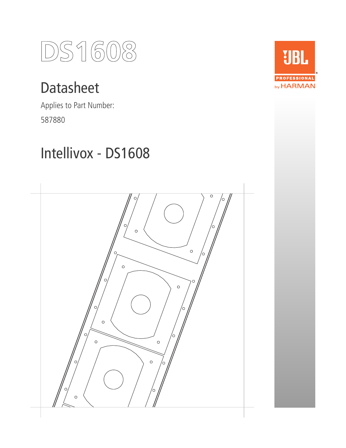

# Datasheet

Applies to Part Number: 587880

# Intellivox - DS1608



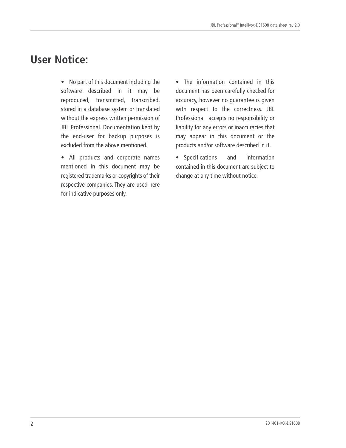### **User Notice:**

• No part of this document including the software described in it may be reproduced, transmitted, transcribed, stored in a database system or translated without the express written permission of JBL Professional. Documentation kept by the end-user for backup purposes is excluded from the above mentioned.

• All products and corporate names mentioned in this document may be registered trademarks or copyrights of their respective companies. They are used here for indicative purposes only.

• The information contained in this document has been carefully checked for accuracy, however no guarantee is given with respect to the correctness. JBL Professional accepts no responsibility or liability for any errors or inaccuracies that may appear in this document or the products and/or software described in it.

• Specifications and information contained in this document are subject to change at any time without notice.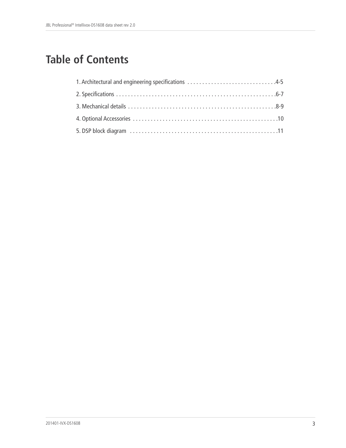## **Table of Contents**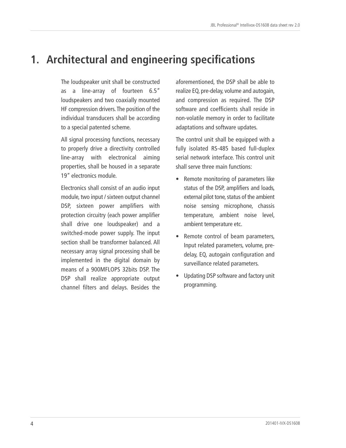### **1. Architectural and engineering specifications**

The loudspeaker unit shall be constructed as a line-array of fourteen 6.5" loudspeakers and two coaxially mounted HF compression drivers.The position of the individual transducers shall be according to a special patented scheme.

All signal processing functions, necessary to properly drive a directivity controlled line-array with electronical aiming properties, shall be housed in a separate 19" electronics module.

Electronics shall consist of an audio input module, two input / sixteen output channel DSP, sixteen power amplifiers with protection circuitry (each power amplifier shall drive one loudspeaker) and a switched-mode power supply. The input section shall be transformer balanced. All necessary array signal processing shall be implemented in the digital domain by means of a 900MFLOPS 32bits DSP. The DSP shall realize appropriate output channel filters and delays. Besides the

aforementioned, the DSP shall be able to realize EQ, pre-delay, volume and autogain, and compression as required. The DSP software and coefficients shall reside in non-volatile memory in order to facilitate adaptations and software updates.

The control unit shall be equipped with a fully isolated RS-485 based full-duplex serial network interface. This control unit shall serve three main functions:

- Remote monitoring of parameters like status of the DSP, amplifiers and loads, external pilot tone, status of the ambient noise sensing microphone, chassis temperature, ambient noise level, ambient temperature etc.
- Remote control of beam parameters, Input related parameters, volume, predelay, EQ, autogain configuration and surveillance related parameters.
- Updating DSP software and factory unit programming.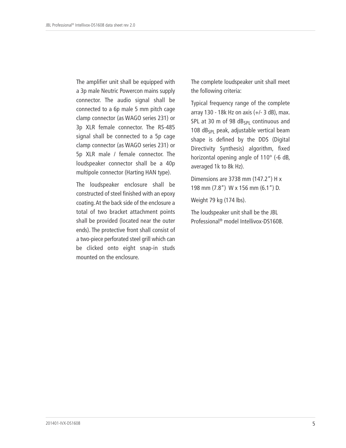The amplifier unit shall be equipped with a 3p male Neutric Powercon mains supply connector. The audio signal shall be connected to a 6p male 5 mm pitch cage clamp connector (as WAGO series 231) or 3p XLR female connector. The RS-485 signal shall be connected to a 5p cage clamp connector (as WAGO series 231) or 5p XLR male / female connector. The loudspeaker connector shall be a 40p multipole connector (Harting HAN type).

The loudspeaker enclosure shall be constructed of steel finished with an epoxy coating.At the back side of the enclosure a total of two bracket attachment points shall be provided (located near the outer ends). The protective front shall consist of a two-piece perforated steel grill which can be clicked onto eight snap-in studs mounted on the enclosure.

The complete loudspeaker unit shall meet the following criteria:

Typical frequency range of the complete array 130 - 18k Hz on axis (+/- 3 dB), max. SPL at 30 m of 98  $dB_{SP1}$  continuous and 108  $dB_{SPL}$  peak, adjustable vertical beam shape is defined by the DDS (Digital Directivity Synthesis) algorithm, fixed horizontal opening angle of 110° (-6 dB, averaged 1k to 8k Hz).

Dimensions are 3738 mm (147.2") H x 198 mm (7.8") W x 156 mm (6.1") D.

Weight 79 kg (174 lbs).

The loudspeaker unit shall be the JBL Professional ® model Intellivox-DS1608.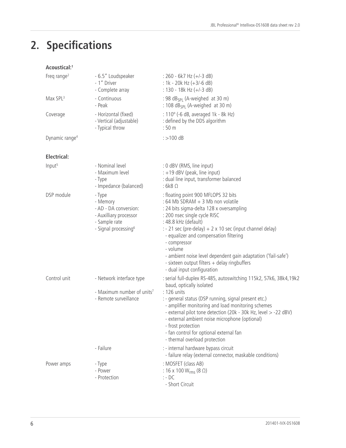# **2. Specifications**

| Acoustical: <sup>1</sup>   |                                                                                                                            |                                                                                                                                                                                                                                                                                                                                                                                                                                                                 |
|----------------------------|----------------------------------------------------------------------------------------------------------------------------|-----------------------------------------------------------------------------------------------------------------------------------------------------------------------------------------------------------------------------------------------------------------------------------------------------------------------------------------------------------------------------------------------------------------------------------------------------------------|
| Freq range <sup>2</sup>    | - 6.5" Loudspeaker<br>- 1" Driver<br>- Complete array                                                                      | $: 260 - 6k7 Hz (+/-3 dB)$<br>: 1k - 20k Hz $(+3/-6$ dB)<br>: 130 - 18k Hz (+/-3 dB)                                                                                                                                                                                                                                                                                                                                                                            |
| Max SPL <sup>3</sup>       | - Continuous<br>- Peak                                                                                                     | : 98 dB <sub>SPI</sub> (A-weighed at 30 m)<br>: 108 $dB_{SPI}$ (A-weighed at 30 m)                                                                                                                                                                                                                                                                                                                                                                              |
| Coverage                   | - Horizontal (fixed)<br>- Vertical (adjustable)<br>- Typical throw                                                         | : 110° (-6 dB, averaged 1k - 8k Hz)<br>: defined by the DDS algorithm<br>:50 <sub>m</sub>                                                                                                                                                                                                                                                                                                                                                                       |
| Dynamic range <sup>4</sup> |                                                                                                                            | $\div$ 100 dB                                                                                                                                                                                                                                                                                                                                                                                                                                                   |
| Electrical:                |                                                                                                                            |                                                                                                                                                                                                                                                                                                                                                                                                                                                                 |
| Input <sup>5</sup>         | - Nominal level<br>- Maximum level<br>- Type<br>- Impedance (balanced)                                                     | : 0 dBV (RMS, line input)<br>: +19 dBV (peak, line input)<br>: dual line input, transformer balanced<br>$: 6k8$ $\Omega$                                                                                                                                                                                                                                                                                                                                        |
| DSP module                 | - Type<br>- Memory<br>- AD - DA conversion:<br>- Auxilliary processor<br>- Sample rate<br>- Signal processing <sup>6</sup> | : floating point 900 MFLOPS 32 bits<br>: 64 Mb SDRAM + 3 Mb non volatile<br>: 24 bits sigma-delta 128 x oversampling<br>: 200 nsec single cycle RISC<br>: 48.8 kHz (default)<br>$: -21$ sec (pre-delay) + 2 x 10 sec (input channel delay)<br>- equalizer and compensation filtering<br>- compressor<br>- volume<br>- ambient noise level dependent gain adaptation ('fail-safe')<br>- sixteen output filters + delay ringbuffers<br>- dual input configuration |
| Control unit               | - Network interface type<br>- Maximum number of units <sup>7</sup><br>- Remote surveillance                                | : serial full-duplex RS-485, autoswitching 115k2, 57k6, 38k4, 19k2<br>baud, optically isolated<br>: 126 units<br>: - general status (DSP running, signal present etc.)<br>- amplifier monitoring and load monitoring schemes<br>- external pilot tone detection (20k - 30k Hz, level > -22 dBV)<br>- external ambient noise microphone (optional)<br>- frost protection<br>- fan control for optional external fan<br>- thermal overload protection             |
|                            | - Failure                                                                                                                  | : - internal hardware bypass circuit<br>- failure relay (external connector, maskable conditions)                                                                                                                                                                                                                                                                                                                                                               |
| Power amps                 | - Type<br>- Power<br>- Protection                                                                                          | : MOSFET (class AB)<br>: 16 x 100 W <sub>rms</sub> (8 Ω)<br>$: -DC$<br>- Short Circuit                                                                                                                                                                                                                                                                                                                                                                          |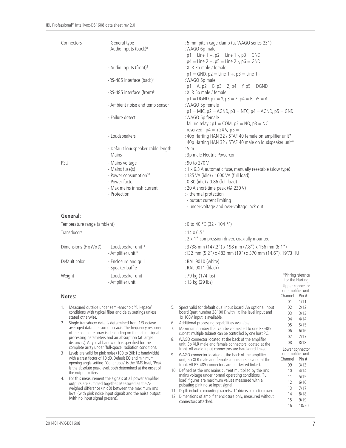| Connectors | - General type<br>- Audio inputs (back) <sup>8</sup>                                                                                    | :5m<br>: WA<br>$p1 =$                                                     |
|------------|-----------------------------------------------------------------------------------------------------------------------------------------|---------------------------------------------------------------------------|
|            | - Audio inputs (front) <sup>8</sup>                                                                                                     | p4 =<br>: XLR                                                             |
|            | -RS-485 interface (back) <sup>9</sup>                                                                                                   | p1 =<br>: WA                                                              |
|            | -RS-485 interface (front) <sup>9</sup>                                                                                                  | p1 =<br>: XLR                                                             |
|            | - Ambient noise and temp sensor                                                                                                         | $p1 =$<br>: WA                                                            |
|            | - Failure detect                                                                                                                        | p1 =<br>: WA<br>failu                                                     |
|            | - Loudspeakers                                                                                                                          | rese<br>: 40p<br>40p                                                      |
|            | - Default loudspeaker cable length<br>- Mains                                                                                           | :5m<br>: 3p r                                                             |
| PSU        | - Mains voltage<br>- Mains fuse(s)<br>- Power consumption <sup>10</sup><br>- Power factor<br>- Max mains inrush current<br>- Protection | : 90 t<br>: 1 x<br>: 135<br>: 0.80<br>: 20 <sup>2</sup><br>: - th<br>$-O$ |
| Gonoral:   |                                                                                                                                         | - un                                                                      |

**General:**

| Transducers        |                                                                    |
|--------------------|--------------------------------------------------------------------|
| Dimensions (HxWxD) | - Loudspeaker unit <sup>11</sup><br>- Amplifier unit <sup>12</sup> |
| Default color      | - Enclosure and grill<br>- Speaker baffle                          |
| Weight             | - Loudspeaker unit<br>المقدمات المحتك فكالمرمض                     |

#### **Notes:**

- 1. Measured outside under semi-anechoic 'full-space' conditions with typical filter and delay settings unless stated otherwise.
- 2. Single transducer data is determined from 1/3 octave averaged data measured on-axis. The frequency response of the complete array is depending on the actual signal processing parameters and air absorption (at larger distances). A typical bandwidth is specified for the complete array under 'full-space' radiation conditions.
- 3 Levels are valid for pink noise (100 to 20k Hz bandwidth) with a crest factor of 10 dB. Default EQ and minimum opening angle setting. 'Continuous' is the RMS level, 'Peak' is the absolute peak level, both determined at the onset of the output limiters.
- 4. For this measurement the signals at all power amplifier outputs are summed together. Measured as the Aweighed difference (in dB) between the maximum rms level (with pink noise input signal) and the noise output (with no input signal present).

: 5 mm pitch cage clamp (as WAGO series 231) : WAGO 6p male  $p1 =$ Line  $1 +$ ,  $p2 =$ Line  $1 -$ ,  $p3 =$ GND  $p4 =$ Line 2 +,  $p5 =$ Line 2 -,  $p6 =$ GND : XLR 3p male / female  $p1 = GND$ ,  $p2 = Line 1 +$ ,  $p3 = Line 1 -$ : WAGO 5p male  $p1 = A$ ,  $p2 = B$ ,  $p3 = Z$ ,  $p4 = Y$ ,  $p5 = DGND$ <sup>9</sup> : XLR 5p male / female  $p1 = DGND$ ,  $p2 = Y$ ,  $p3 = Z$ ,  $p4 = B$ ,  $p5 = A$ : WAGO 5p female  $p1 = M/C$ ,  $p2 = AGND$ ,  $p3 = NTC$ ,  $p4 = AGND$ ,  $p5 = GND$ : WAGO 5p female failure relay :  $p1 = COM$ ,  $p2 = NO$ ,  $p3 = NC$ reserved :  $p4 = +24$  V,  $p5 = -$ : 40p Harting HAN 32 / STAF 40 female on amplifier unit\* 40p Harting HAN 32 / STAF 40 male on loudspeaker unit\* : 3p male Neutric Powercon  $: 90$  to 270 V : 1 x 6.3 A automatic fuse, manually resetable (slow type) : 135 VA (idle) / 1600 VA (full load) : 0.80 (idle) / 0.86 (full load)  $: 20$  A short-time peak (@ 230 V)  $:$  - thermal protection - output current limiting - under-voltage and over-voltage lock out

Temperature range (ambient)  $\qquad \qquad$  : 0 to 40 °C (32 - 104 °F)  $: 14 \times 6.5''$ : 2 x 1" compression driver, coaxially mounted  $: 3738$  mm (147.2") x 198 mm (7.8") x 156 mm (6.1") <sup>12</sup> :132 mm (5.2") x 483 mm (19") x 370 mm (14.6"), 19"/3 HU : RAL 9010 (white) : RAL 9011 (black) : 79 kg (174 lbs) - Amplifier unit : 13 kg (29 lbs) \*Pinning reference for the Harting Upper connector on amplifier unit: Channel Pin # 01 1/11 02 2/12 03 3/13 04 4/14 05 5/15 06 6/16 07 7/17 08 8/18 Lower connector on amplifier unit: Channel Pin # 09 3/13 10 4/14 11 5/15 12 6/16 13 7/17 14 8/18 15 9/19 5. Specs valid for default dual input board. An optional input board (part number 381001) with 1x line level input and 1x 100V input is available. 6. Additional processing capabilities available. 7. Maximum number that can be connected to one RS-485 subnet, multiple subnets can be controlled by one host PC. 8. WAGO connector located at the back of the amplifier unit, 3p XLR male and female connectors located at the front. All audio input connectors are hardwired linked. 9. WAGO connector located at the back of the amplifier unit, 5p XLR male and female connectors located at the front. All RS-485 connectors are hardwired linked. 10. Defined as the rms mains current multiplied by the rms mains voltage under normal operating conditions. 'Full load' figures are maximum values measured with a pulsating pink noise input signal. 11. Depth including mounting brackets / 1" drivers protection cover. 12. Dimensions of amplifier enclosure only, measured without

connectors attached.

7

16 10/20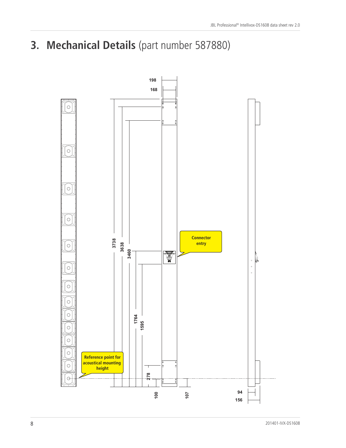**3. Mechanical Details** (part number 587880)

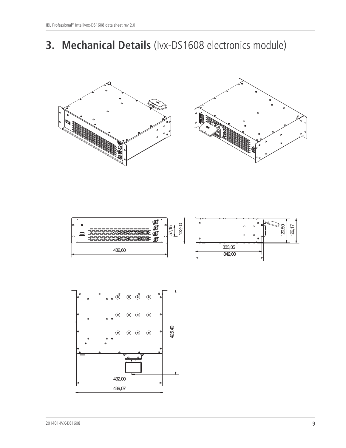### **3. Mechanical Details** (Ivx-DS1608 electronics module)







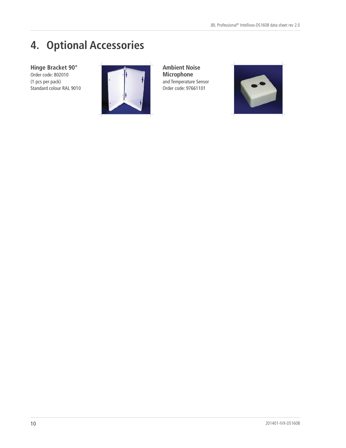## **4. Optional Accessories**

**Hinge Bracket 90°** Order code: 802010 (1 pcs per pack) Standard colour RAL 9010



**Ambient Noise Microphone** and Temperature Sensor Order code: 97661101

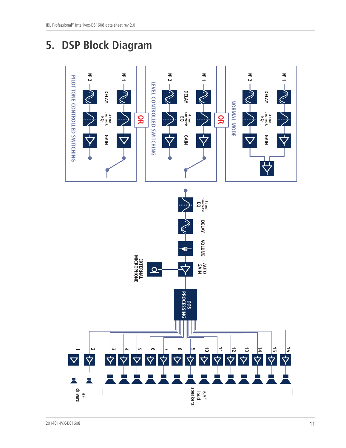### **5. DSP Block Diagram**